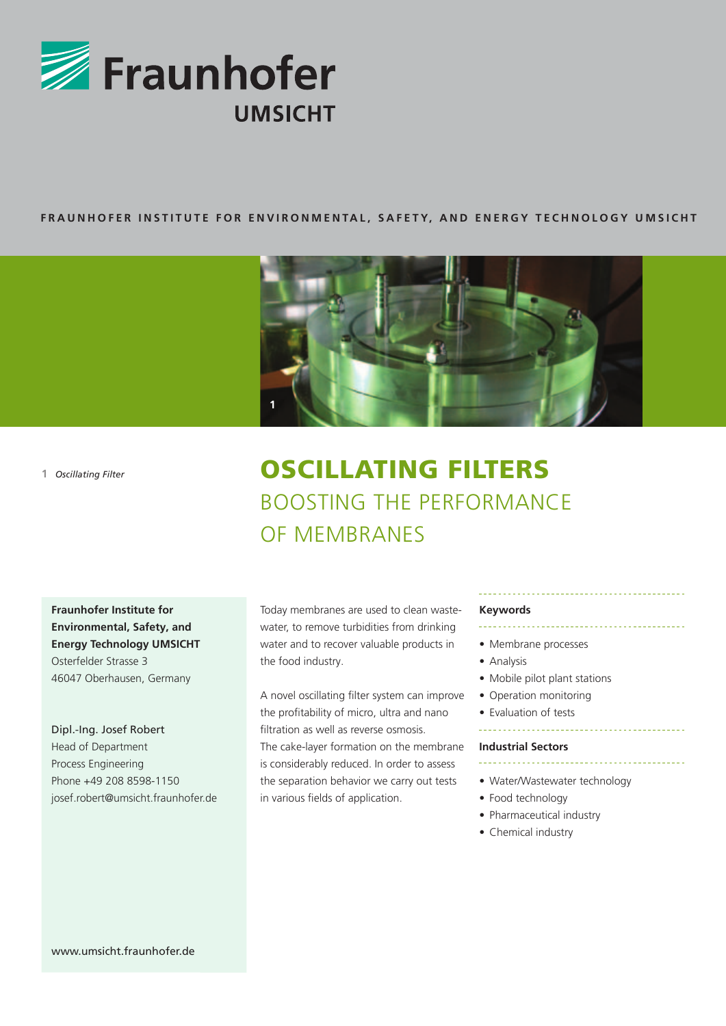

## **FRAUNHOFER INSTITUT e F or E n v ironmenta l, safet y, an d ener gy techno l o gy umsicht**



**1** *Oscillating Filter*

# Oscillating filters Boosting the performance of membranes

**Fraunhofer Institute for Environmental, Safety, and Energy Technology UMSICHT** Osterfelder Strasse 3 46047 Oberhausen, Germany

Dipl.-Ing. Josef Robert Head of Department Process Engineering Phone +49 208 8598-1150 josef.robert@umsicht.fraunhofer.de

Today membranes are used to clean wastewater, to remove turbidities from drinking water and to recover valuable products in the food industry.

A novel oscillating filter system can improve the profitability of micro, ultra and nano filtration as well as reverse osmosis. The cake-layer formation on the membrane is considerably reduced. In order to assess the separation behavior we carry out tests in various fields of application.

## **Keywords**

- Membrane processes
- Analysis
- Mobile pilot plant stations
- Operation monitoring
- Evaluation of tests

#### **Industrial Sectors**

- \_\_\_\_\_\_\_\_\_\_\_\_\_\_\_\_\_\_\_\_\_\_\_\_\_\_\_
- Water/Wastewater technology
- Food technology
- Pharmaceutical industry
- Chemical industry